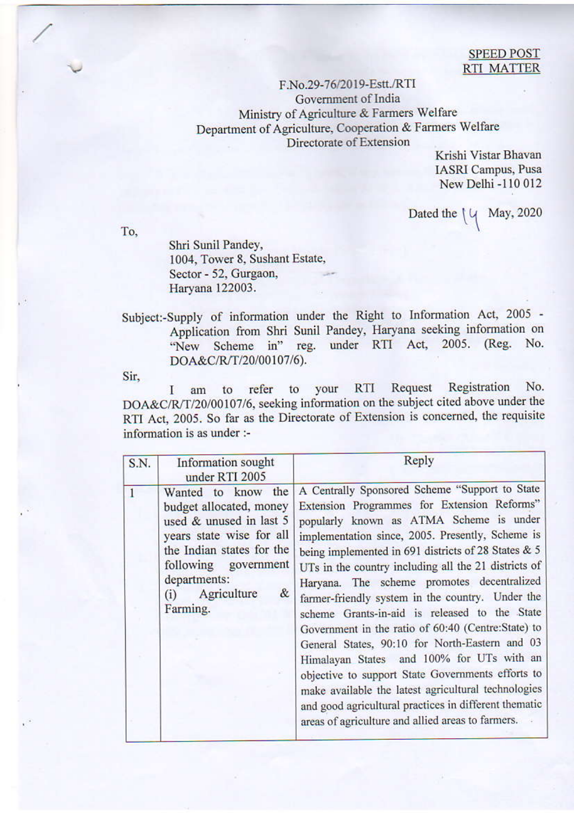## **SPEED POST RTI MATTER**

## F.No.29-76/2019-Estt./RTI Government of India Ministry of Agriculture & Farmers Welfare Department of Agriculture, Cooperation & Farmers Welfare Directorate of Extension

Krishi Vistar Bhavan **IASRI** Campus, Pusa New Delhi -110 012

Dated the  $\vert \psi \vert$  May, 2020

To.

Shri Sunil Pandey, 1004, Tower 8, Sushant Estate, Sector - 52, Gurgaon, Haryana 122003.

Subject:-Supply of information under the Right to Information Act, 2005 -Application from Shri Sunil Pandey, Haryana seeking information on "New Scheme in" reg. under RTI Act, 2005. (Reg. No. DOA&C/R/T/20/00107/6).

Sir.

Registration No. refer to your RTI Request to I am DOA&C/R/T/20/00107/6, seeking information on the subject cited above under the RTI Act, 2005. So far as the Directorate of Extension is concerned, the requisite information is as under :-

| S.N. | Information sought<br>under RTI 2005                                                                                                                                                                             | Reply                                                                                                                                                                                                                                                                                                                                                                                                                                                                                                                                                                                                                                                                                                                                                                                                                                         |
|------|------------------------------------------------------------------------------------------------------------------------------------------------------------------------------------------------------------------|-----------------------------------------------------------------------------------------------------------------------------------------------------------------------------------------------------------------------------------------------------------------------------------------------------------------------------------------------------------------------------------------------------------------------------------------------------------------------------------------------------------------------------------------------------------------------------------------------------------------------------------------------------------------------------------------------------------------------------------------------------------------------------------------------------------------------------------------------|
|      | Wanted to know the<br>budget allocated, money<br>used & unused in last 5<br>years state wise for all<br>the Indian states for the<br>following government<br>departments:<br>Agriculture<br>&<br>(i)<br>Farming. | A Centrally Sponsored Scheme "Support to State<br>Extension Programmes for Extension Reforms"<br>popularly known as ATMA Scheme is under<br>implementation since, 2005. Presently, Scheme is<br>being implemented in 691 districts of 28 States & 5<br>UTs in the country including all the 21 districts of<br>Haryana. The scheme promotes decentralized<br>farmer-friendly system in the country. Under the<br>scheme Grants-in-aid is released to the State<br>Government in the ratio of 60:40 (Centre:State) to<br>General States, 90:10 for North-Eastern and 03<br>Himalayan States and 100% for UTs with an<br>objective to support State Governments efforts to<br>make available the latest agricultural technologies<br>and good agricultural practices in different thematic<br>areas of agriculture and allied areas to farmers. |